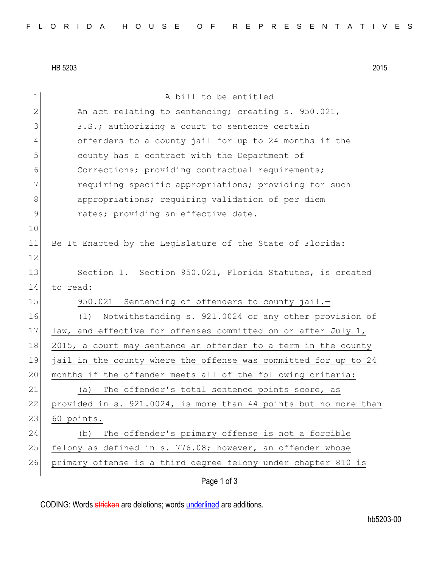HB 5203 2015

| 1            | A bill to be entitled                                            |
|--------------|------------------------------------------------------------------|
| $\mathbf{2}$ | An act relating to sentencing; creating s. 950.021,              |
| 3            | F.S.; authorizing a court to sentence certain                    |
| 4            | offenders to a county jail for up to 24 months if the            |
| 5            | county has a contract with the Department of                     |
| 6            | Corrections; providing contractual requirements;                 |
| 7            | requiring specific appropriations; providing for such            |
| $8\,$        | appropriations; requiring validation of per diem                 |
| 9            | rates; providing an effective date.                              |
| 10           |                                                                  |
| 11           | Be It Enacted by the Legislature of the State of Florida:        |
| 12           |                                                                  |
| 13           | Section 1. Section 950.021, Florida Statutes, is created         |
| 14           | to read:                                                         |
| 15           | 950.021 Sentencing of offenders to county jail.-                 |
| 16           | Notwithstanding s. 921.0024 or any other provision of<br>(1)     |
| 17           | law, and effective for offenses committed on or after July 1,    |
| 18           | 2015, a court may sentence an offender to a term in the county   |
| 19           | jail in the county where the offense was committed for up to 24  |
| 20           | months if the offender meets all of the following criteria:      |
| 21           | The offender's total sentence points score, as<br>(a)            |
| 22           | provided in s. 921.0024, is more than 44 points but no more than |
| 23           | 60 points.                                                       |
| 24           | The offender's primary offense is not a forcible<br>(b)          |
| 25           | felony as defined in s. 776.08; however, an offender whose       |
| 26           | primary offense is a third degree felony under chapter 810 is    |
|              | Page 1 of 3                                                      |

CODING: Words stricken are deletions; words underlined are additions.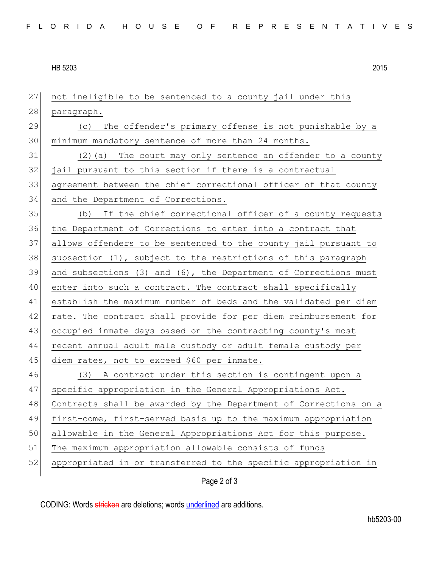HB 5203 2015

Page 2 of 3 not ineligible to be sentenced to a county jail under this 28 paragraph. 29 (c) The offender's primary offense is not punishable by a minimum mandatory sentence of more than 24 months. (2)(a) The court may only sentence an offender to a county jail pursuant to this section if there is a contractual agreement between the chief correctional officer of that county 34 and the Department of Corrections. (b) If the chief correctional officer of a county requests the Department of Corrections to enter into a contract that allows offenders to be sentenced to the county jail pursuant to 38 subsection  $(1)$ , subject to the restrictions of this paragraph and subsections (3) and (6), the Department of Corrections must 40 enter into such a contract. The contract shall specifically establish the maximum number of beds and the validated per diem 42 rate. The contract shall provide for per diem reimbursement for occupied inmate days based on the contracting county's most recent annual adult male custody or adult female custody per 45 diem rates, not to exceed \$60 per inmate. (3) A contract under this section is contingent upon a 47 specific appropriation in the General Appropriations Act. Contracts shall be awarded by the Department of Corrections on a first-come, first-served basis up to the maximum appropriation 50 allowable in the General Appropriations Act for this purpose. The maximum appropriation allowable consists of funds appropriated in or transferred to the specific appropriation in

CODING: Words stricken are deletions; words underlined are additions.